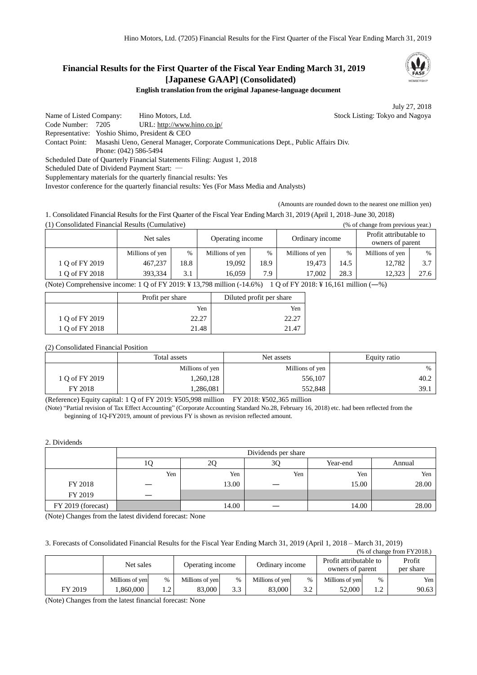# **Financial Results for the First Quarter of the Fiscal Year Ending March 31, 2019 [Japanese GAAP] (Consolidated)**

**English translation from the original Japanese-language document**

July 27, 2018

Name of Listed Company: Hino Motors, Ltd. Stock Listing: Tokyo and Nagoya Code Number: 7205 URL: http://www.hino.co.jp/ Representative: Yoshio Shimo, President & CEO Contact Point: Masashi Ueno, General Manager, Corporate Communications Dept., Public Affairs Div. Phone: (042) 586-5494 Scheduled Date of Quarterly Financial Statements Filing: August 1, 2018 Scheduled Date of Dividend Payment Start: -Supplementary materials for the quarterly financial results: Yes

Investor conference for the quarterly financial results: Yes (For Mass Media and Analysts)

(Amounts are rounded down to the nearest one million yen)

1. Consolidated Financial Results for the First Quarter of the Fiscal Year Ending March 31, 2019 (April 1, 2018–June 30, 2018) (1) Consolidated Financial Results (Cumulative) (% of change from previous year.)

|                | Net sales<br>Operating income |      |                 | Ordinary income |                 | Profit attributable to<br>owners of parent |                 |      |
|----------------|-------------------------------|------|-----------------|-----------------|-----------------|--------------------------------------------|-----------------|------|
|                | Millions of yen               | %    | Millions of yen | $\%$            | Millions of yen | $\frac{0}{0}$                              | Millions of yen | %    |
| 1 Q of FY 2019 | 467,237                       | 18.8 | 19.092          | 18.9            | 19.473          | 14.5                                       | 12.782          | 3.7  |
| 1 O of FY 2018 | 393.334                       | 3.1  | 16.059          | 7.9             | 17.002          | 28.3                                       | 12.323          | 27.6 |

(Note) Comprehensive income: 1 Q of FY 2019: ¥ 13,798 million (-14.6%) 1 Q of FY 2018: ¥ 16,161 million (―%)

|                | Profit per share | Diluted profit per share |
|----------------|------------------|--------------------------|
|                | Yen              | Yen                      |
| 1 Q of FY 2019 |                  |                          |
| 1 Q of FY 2018 | 21.48            | 21 41                    |

#### (2) Consolidated Financial Position

|                | Total assets    | Net assets      | Equity ratio |
|----------------|-----------------|-----------------|--------------|
|                | Millions of yen | Millions of yen | $\%$         |
| 1 O of FY 2019 | 1,260,128       | 556,107         | 40.2         |
| FY 2018        | 1,286,081       | 552,848         | 39.1         |

(Reference) Equity capital: 1 Q of FY 2019: ¥505,998 million FY 2018: ¥502,365 million

(Note) "Partial revision of Tax Effect Accounting" (Corporate Accounting Standard No.28, February 16, 2018) etc. had been reflected from the beginning of 1Q-FY2019, amount of previous FY is shown as revision reflected amount.

#### 2. Dividends

|                    |     | Dividends per share            |     |       |       |  |  |  |  |
|--------------------|-----|--------------------------------|-----|-------|-------|--|--|--|--|
|                    | ΙU  | 3Q<br>Year-end<br>Annual<br>∠∪ |     |       |       |  |  |  |  |
|                    | Yen | Yen                            | Yen | Yen   | Yen   |  |  |  |  |
| FY 2018            |     | 13.00                          |     | 15.00 | 28.00 |  |  |  |  |
| FY 2019            |     |                                |     |       |       |  |  |  |  |
| FY 2019 (forecast) |     | 14.00                          |     | 14.00 | 28.00 |  |  |  |  |

(Note) Changes from the latest dividend forecast: None

#### 3. Forecasts of Consolidated Financial Results for the Fiscal Year Ending March 31, 2019 (April 1, 2018 – March 31, 2019)

|         |                 |      |                  |      |                 |               |                                            |      | $%$ of change from $FY2018$ . |
|---------|-----------------|------|------------------|------|-----------------|---------------|--------------------------------------------|------|-------------------------------|
|         | Net sales       |      | Operating income |      | Ordinary income |               | Profit attributable to<br>owners of parent |      | Profit<br>per share           |
|         | Millions of yen | $\%$ | Millions of yen  | $\%$ | Millions of yen | $\frac{0}{0}$ | Millions of yen                            | $\%$ | Yen                           |
| FY 2019 | .860.000        |      | 83,000           | 3.3  | 83,000          | 3.2           | 52,000                                     | 1.2  | 90.63                         |

(Note) Changes from the latest financial forecast: None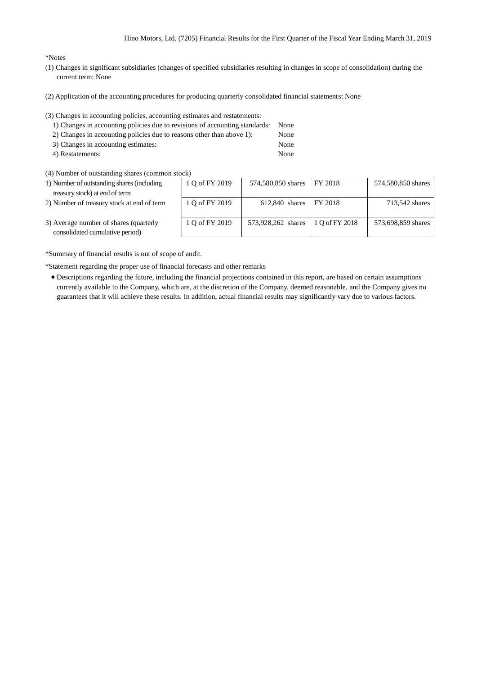#### \*Notes

- (1) Changes in significant subsidiaries (changes of specified subsidiaries resulting in changes in scope of consolidation) during the current term: None
- (2) Application of the accounting procedures for producing quarterly consolidated financial statements: None
- (3) Changes in accounting policies, accounting estimates and restatements:
	- 1) Changes in accounting policies due to revisions of accounting standards: None
	- 2) Changes in accounting policies due to reasons other than above 1): None
	- 3) Changes in accounting estimates: None 4) Restatements: None
- (4) Number of outstanding shares (common stock)
- 1) Number of outstanding shares (including treasury stock) at end of term 1 Q of FY 2019 774,580,850 shares FY 2018 574,580,850 shares 2) Number of treasury stock at end of term  $1 Q$  of FY 2019 612,840 shares FY 2018 713,542 shares 3) Average number of shares (quarterly consolidated cumulative period) 1 Q of FY 2019 73,928,262 shares 1 Q of FY 2018 573,698,859 shares

\*Summary of financial results is out of scope of audit.

\*Statement regarding the proper use of financial forecasts and other remarks

 Descriptions regarding the future, including the financial projections contained in this report, are based on certain assumptions currently available to the Company, which are, at the discretion of the Company, deemed reasonable, and the Company gives no guarantees that it will achieve these results. In addition, actual financial results may significantly vary due to various factors.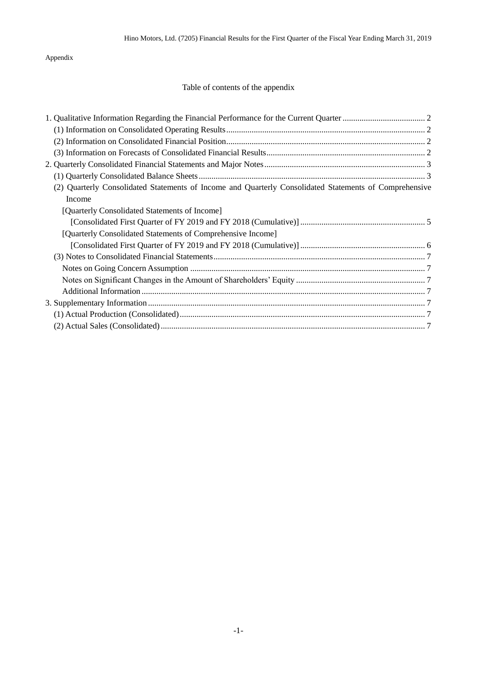Appendix

# Table of contents of the appendix

| (2) Quarterly Consolidated Statements of Income and Quarterly Consolidated Statements of Comprehensive |  |
|--------------------------------------------------------------------------------------------------------|--|
| Income                                                                                                 |  |
| [Quarterly Consolidated Statements of Income]                                                          |  |
|                                                                                                        |  |
| [Quarterly Consolidated Statements of Comprehensive Income]                                            |  |
|                                                                                                        |  |
|                                                                                                        |  |
|                                                                                                        |  |
|                                                                                                        |  |
|                                                                                                        |  |
|                                                                                                        |  |
|                                                                                                        |  |
|                                                                                                        |  |
|                                                                                                        |  |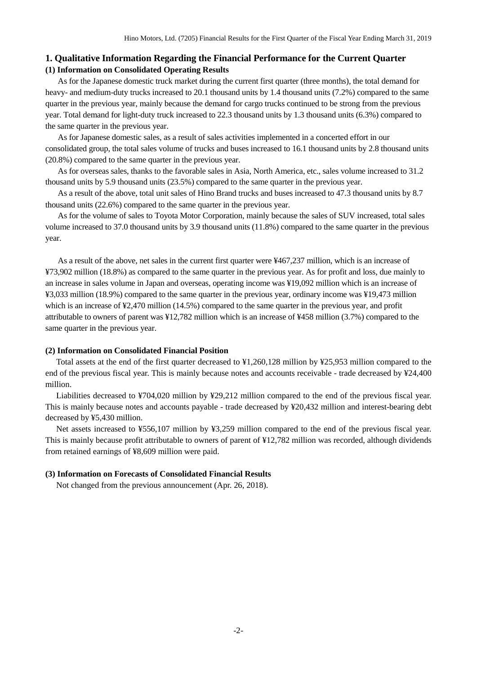## <span id="page-3-1"></span><span id="page-3-0"></span>**1. Qualitative Information Regarding the Financial Performance for the Current Quarter (1) Information on Consolidated Operating Results**

As for the Japanese domestic truck market during the current first quarter (three months), the total demand for heavy- and medium-duty trucks increased to 20.1 thousand units by 1.4 thousand units (7.2%) compared to the same quarter in the previous year, mainly because the demand for cargo trucks continued to be strong from the previous year. Total demand for light-duty truck increased to 22.3 thousand units by 1.3 thousand units (6.3%) compared to the same quarter in the previous year.

As for Japanese domestic sales, as a result of sales activities implemented in a concerted effort in our consolidated group, the total sales volume of trucks and buses increased to 16.1 thousand units by 2.8 thousand units (20.8%) compared to the same quarter in the previous year.

As for overseas sales, thanks to the favorable sales in Asia, North America, etc., sales volume increased to 31.2 thousand units by 5.9 thousand units (23.5%) compared to the same quarter in the previous year.

As a result of the above, total unit sales of Hino Brand trucks and buses increased to 47.3 thousand units by 8.7 thousand units (22.6%) compared to the same quarter in the previous year.

As for the volume of sales to Toyota Motor Corporation, mainly because the sales of SUV increased, total sales volume increased to 37.0 thousand units by 3.9 thousand units (11.8%) compared to the same quarter in the previous year.

As a result of the above, net sales in the current first quarter were ¥467,237 million, which is an increase of ¥73,902 million (18.8%) as compared to the same quarter in the previous year. As for profit and loss, due mainly to an increase in sales volume in Japan and overseas, operating income was ¥19,092 million which is an increase of ¥3,033 million (18.9%) compared to the same quarter in the previous year, ordinary income was ¥19,473 million which is an increase of ¥2,470 million (14.5%) compared to the same quarter in the previous year, and profit attributable to owners of parent was ¥12,782 million which is an increase of ¥458 million (3.7%) compared to the same quarter in the previous year.

#### <span id="page-3-2"></span>**(2) Information on Consolidated Financial Position**

Total assets at the end of the first quarter decreased to ¥1,260,128 million by ¥25,953 million compared to the end of the previous fiscal year. This is mainly because notes and accounts receivable - trade decreased by ¥24,400 million.

Liabilities decreased to ¥704,020 million by ¥29,212 million compared to the end of the previous fiscal year. This is mainly because notes and accounts payable - trade decreased by ¥20,432 million and interest-bearing debt decreased by ¥5,430 million.

Net assets increased to ¥556,107 million by ¥3,259 million compared to the end of the previous fiscal year. This is mainly because profit attributable to owners of parent of ¥12,782 million was recorded, although dividends from retained earnings of ¥8,609 million were paid.

#### <span id="page-3-3"></span>**(3) Information on Forecasts of Consolidated Financial Results**

Not changed from the previous announcement (Apr. 26, 2018).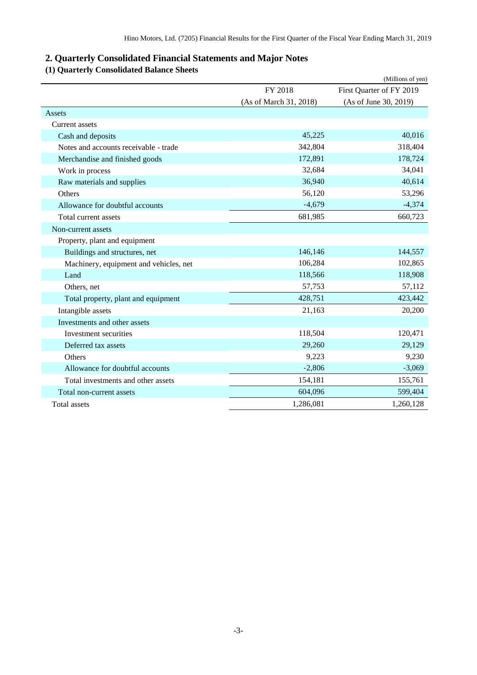# <span id="page-4-0"></span>**2. Quarterly Consolidated Financial Statements and Major Notes**

# <span id="page-4-1"></span>**(1) Quarterly Consolidated Balance Sheets**

|                                        |                        | (Millions of yen)        |
|----------------------------------------|------------------------|--------------------------|
|                                        | FY 2018                | First Quarter of FY 2019 |
|                                        | (As of March 31, 2018) | (As of June 30, 2019)    |
| Assets                                 |                        |                          |
| Current assets                         |                        |                          |
| Cash and deposits                      | 45,225                 | 40,016                   |
| Notes and accounts receivable - trade  | 342,804                | 318,404                  |
| Merchandise and finished goods         | 172,891                | 178,724                  |
| Work in process                        | 32,684                 | 34,041                   |
| Raw materials and supplies             | 36,940                 | 40,614                   |
| Others                                 | 56,120                 | 53,296                   |
| Allowance for doubtful accounts        | $-4,679$               | $-4,374$                 |
| Total current assets                   | 681,985                | 660,723                  |
| Non-current assets                     |                        |                          |
| Property, plant and equipment          |                        |                          |
| Buildings and structures, net          | 146,146                | 144,557                  |
| Machinery, equipment and vehicles, net | 106,284                | 102,865                  |
| Land                                   | 118,566                | 118,908                  |
| Others, net                            | 57,753                 | 57,112                   |
| Total property, plant and equipment    | 428,751                | 423,442                  |
| Intangible assets                      | 21,163                 | 20,200                   |
| Investments and other assets           |                        |                          |
| Investment securities                  | 118,504                | 120,471                  |
| Deferred tax assets                    | 29,260                 | 29,129                   |
| Others                                 | 9,223                  | 9,230                    |
| Allowance for doubtful accounts        | $-2,806$               | $-3,069$                 |
| Total investments and other assets     | 154,181                | 155,761                  |
| Total non-current assets               | 604,096                | 599,404                  |
| Total assets                           | 1,286,081              | 1,260,128                |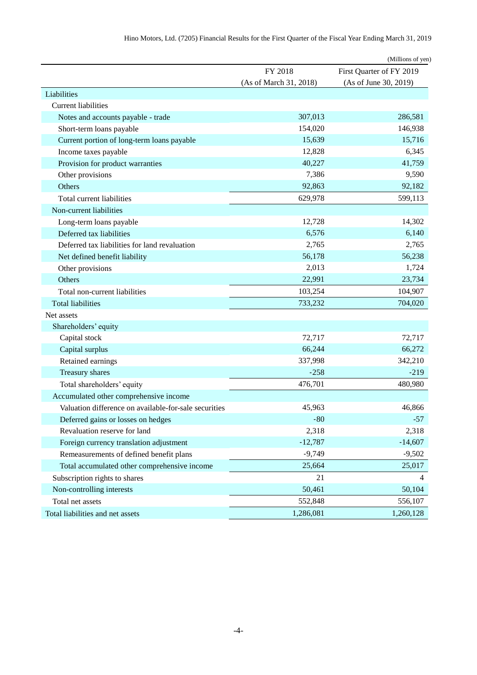|                                                       |                        | (Millions of yen)        |
|-------------------------------------------------------|------------------------|--------------------------|
|                                                       | FY 2018                | First Quarter of FY 2019 |
|                                                       | (As of March 31, 2018) | (As of June 30, 2019)    |
| Liabilities                                           |                        |                          |
| <b>Current liabilities</b>                            |                        |                          |
| Notes and accounts payable - trade                    | 307,013                | 286,581                  |
| Short-term loans payable                              | 154,020                | 146,938                  |
| Current portion of long-term loans payable            | 15,639                 | 15,716                   |
| Income taxes payable                                  | 12,828                 | 6,345                    |
| Provision for product warranties                      | 40,227                 | 41,759                   |
| Other provisions                                      | 7,386                  | 9,590                    |
| Others                                                | 92,863                 | 92,182                   |
| Total current liabilities                             | 629,978                | 599,113                  |
| Non-current liabilities                               |                        |                          |
| Long-term loans payable                               | 12,728                 | 14,302                   |
| Deferred tax liabilities                              | 6,576                  | 6,140                    |
| Deferred tax liabilities for land revaluation         | 2,765                  | 2,765                    |
| Net defined benefit liability                         | 56,178                 | 56,238                   |
| Other provisions                                      | 2,013                  | 1,724                    |
| Others                                                | 22,991                 | 23,734                   |
| Total non-current liabilities                         | 103,254                | 104,907                  |
| <b>Total liabilities</b>                              | 733,232                | 704,020                  |
| Net assets                                            |                        |                          |
| Shareholders' equity                                  |                        |                          |
| Capital stock                                         | 72,717                 | 72,717                   |
| Capital surplus                                       | 66,244                 | 66,272                   |
| Retained earnings                                     | 337,998                | 342,210                  |
| Treasury shares                                       | $-258$                 | $-219$                   |
| Total shareholders' equity                            | 476,701                | 480,980                  |
| Accumulated other comprehensive income                |                        |                          |
| Valuation difference on available-for-sale securities | 45,963                 | 46,866                   |
| Deferred gains or losses on hedges                    | $-80$                  | $-57$                    |
| Revaluation reserve for land                          | 2,318                  | 2,318                    |
| Foreign currency translation adjustment               | $-12,787$              | $-14,607$                |
| Remeasurements of defined benefit plans               | $-9,749$               | $-9,502$                 |
| Total accumulated other comprehensive income          | 25,664                 | 25,017                   |
| Subscription rights to shares                         | 21                     | 4                        |
| Non-controlling interests                             | 50,461                 | 50,104                   |
| Total net assets                                      | 552,848                | 556,107                  |
| Total liabilities and net assets                      | 1,286,081              | 1,260,128                |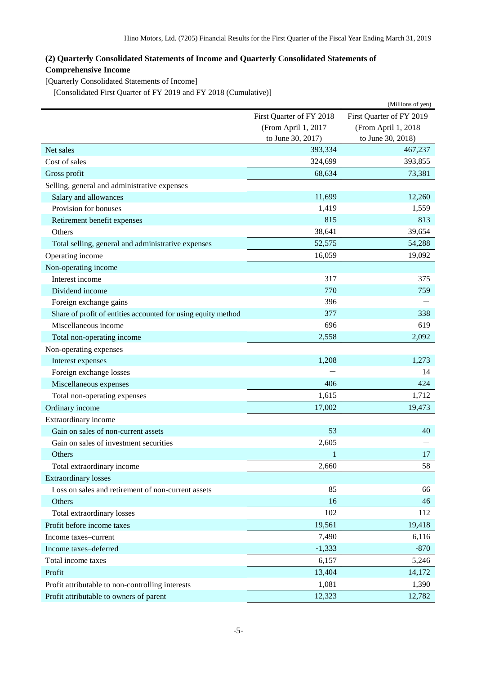# <span id="page-6-0"></span>**(2) Quarterly Consolidated Statements of Income and Quarterly Consolidated Statements of Comprehensive Income**

<span id="page-6-1"></span>[Quarterly Consolidated Statements of Income]

<span id="page-6-2"></span>[Consolidated First Quarter of FY 2019 and FY 2018 (Cumulative)]

| First Quarter of FY 2019<br>First Quarter of FY 2018<br>(From April 1, 2017<br>(From April 1, 2018<br>to June 30, 2017)<br>to June 30, 2018)<br>393,334<br>467,237<br>Net sales<br>324,699<br>Cost of sales<br>393,855<br>68,634<br>73,381<br>Gross profit<br>Selling, general and administrative expenses<br>Salary and allowances<br>11,699<br>12,260<br>Provision for bonuses<br>1,419<br>1,559<br>815<br>813<br>Retirement benefit expenses<br>38,641<br>39,654<br>Others<br>52,575<br>54,288<br>Total selling, general and administrative expenses<br>16,059<br>19,092<br>Operating income<br>Non-operating income<br>Interest income<br>317<br>375<br>770<br>759<br>Dividend income<br>396<br>Foreign exchange gains<br>338<br>Share of profit of entities accounted for using equity method<br>377<br>696<br>619<br>Miscellaneous income<br>2,558<br>2,092<br>Total non-operating income<br>Non-operating expenses<br>1,208<br>1,273<br>Interest expenses<br>Foreign exchange losses<br>14<br>406<br>Miscellaneous expenses<br>424<br>1,615<br>1,712<br>Total non-operating expenses<br>17,002<br>19,473<br>Ordinary income<br>Extraordinary income<br>Gain on sales of non-current assets<br>53<br>40<br>2,605<br>Gain on sales of investment securities<br>17<br>Others<br>1<br>Total extraordinary income<br>2,660<br>58<br><b>Extraordinary losses</b><br>85<br>Loss on sales and retirement of non-current assets<br>66<br>16<br>46<br>Others<br>102<br>Total extraordinary losses<br>112<br>Profit before income taxes<br>19,561<br>19,418<br>7,490<br>6,116<br>Income taxes-current<br>$-870$<br>$-1,333$<br>Income taxes-deferred<br>Total income taxes<br>6,157<br>5,246<br>13,404<br>Profit<br>14,172<br>Profit attributable to non-controlling interests<br>1,081<br>1,390 |                                         |        | (Millions of yen) |
|----------------------------------------------------------------------------------------------------------------------------------------------------------------------------------------------------------------------------------------------------------------------------------------------------------------------------------------------------------------------------------------------------------------------------------------------------------------------------------------------------------------------------------------------------------------------------------------------------------------------------------------------------------------------------------------------------------------------------------------------------------------------------------------------------------------------------------------------------------------------------------------------------------------------------------------------------------------------------------------------------------------------------------------------------------------------------------------------------------------------------------------------------------------------------------------------------------------------------------------------------------------------------------------------------------------------------------------------------------------------------------------------------------------------------------------------------------------------------------------------------------------------------------------------------------------------------------------------------------------------------------------------------------------------------------------------------------------------------------------------------------------------------------------------|-----------------------------------------|--------|-------------------|
|                                                                                                                                                                                                                                                                                                                                                                                                                                                                                                                                                                                                                                                                                                                                                                                                                                                                                                                                                                                                                                                                                                                                                                                                                                                                                                                                                                                                                                                                                                                                                                                                                                                                                                                                                                                              |                                         |        |                   |
|                                                                                                                                                                                                                                                                                                                                                                                                                                                                                                                                                                                                                                                                                                                                                                                                                                                                                                                                                                                                                                                                                                                                                                                                                                                                                                                                                                                                                                                                                                                                                                                                                                                                                                                                                                                              |                                         |        |                   |
|                                                                                                                                                                                                                                                                                                                                                                                                                                                                                                                                                                                                                                                                                                                                                                                                                                                                                                                                                                                                                                                                                                                                                                                                                                                                                                                                                                                                                                                                                                                                                                                                                                                                                                                                                                                              |                                         |        |                   |
|                                                                                                                                                                                                                                                                                                                                                                                                                                                                                                                                                                                                                                                                                                                                                                                                                                                                                                                                                                                                                                                                                                                                                                                                                                                                                                                                                                                                                                                                                                                                                                                                                                                                                                                                                                                              |                                         |        |                   |
|                                                                                                                                                                                                                                                                                                                                                                                                                                                                                                                                                                                                                                                                                                                                                                                                                                                                                                                                                                                                                                                                                                                                                                                                                                                                                                                                                                                                                                                                                                                                                                                                                                                                                                                                                                                              |                                         |        |                   |
|                                                                                                                                                                                                                                                                                                                                                                                                                                                                                                                                                                                                                                                                                                                                                                                                                                                                                                                                                                                                                                                                                                                                                                                                                                                                                                                                                                                                                                                                                                                                                                                                                                                                                                                                                                                              |                                         |        |                   |
|                                                                                                                                                                                                                                                                                                                                                                                                                                                                                                                                                                                                                                                                                                                                                                                                                                                                                                                                                                                                                                                                                                                                                                                                                                                                                                                                                                                                                                                                                                                                                                                                                                                                                                                                                                                              |                                         |        |                   |
|                                                                                                                                                                                                                                                                                                                                                                                                                                                                                                                                                                                                                                                                                                                                                                                                                                                                                                                                                                                                                                                                                                                                                                                                                                                                                                                                                                                                                                                                                                                                                                                                                                                                                                                                                                                              |                                         |        |                   |
|                                                                                                                                                                                                                                                                                                                                                                                                                                                                                                                                                                                                                                                                                                                                                                                                                                                                                                                                                                                                                                                                                                                                                                                                                                                                                                                                                                                                                                                                                                                                                                                                                                                                                                                                                                                              |                                         |        |                   |
|                                                                                                                                                                                                                                                                                                                                                                                                                                                                                                                                                                                                                                                                                                                                                                                                                                                                                                                                                                                                                                                                                                                                                                                                                                                                                                                                                                                                                                                                                                                                                                                                                                                                                                                                                                                              |                                         |        |                   |
|                                                                                                                                                                                                                                                                                                                                                                                                                                                                                                                                                                                                                                                                                                                                                                                                                                                                                                                                                                                                                                                                                                                                                                                                                                                                                                                                                                                                                                                                                                                                                                                                                                                                                                                                                                                              |                                         |        |                   |
|                                                                                                                                                                                                                                                                                                                                                                                                                                                                                                                                                                                                                                                                                                                                                                                                                                                                                                                                                                                                                                                                                                                                                                                                                                                                                                                                                                                                                                                                                                                                                                                                                                                                                                                                                                                              |                                         |        |                   |
|                                                                                                                                                                                                                                                                                                                                                                                                                                                                                                                                                                                                                                                                                                                                                                                                                                                                                                                                                                                                                                                                                                                                                                                                                                                                                                                                                                                                                                                                                                                                                                                                                                                                                                                                                                                              |                                         |        |                   |
|                                                                                                                                                                                                                                                                                                                                                                                                                                                                                                                                                                                                                                                                                                                                                                                                                                                                                                                                                                                                                                                                                                                                                                                                                                                                                                                                                                                                                                                                                                                                                                                                                                                                                                                                                                                              |                                         |        |                   |
|                                                                                                                                                                                                                                                                                                                                                                                                                                                                                                                                                                                                                                                                                                                                                                                                                                                                                                                                                                                                                                                                                                                                                                                                                                                                                                                                                                                                                                                                                                                                                                                                                                                                                                                                                                                              |                                         |        |                   |
|                                                                                                                                                                                                                                                                                                                                                                                                                                                                                                                                                                                                                                                                                                                                                                                                                                                                                                                                                                                                                                                                                                                                                                                                                                                                                                                                                                                                                                                                                                                                                                                                                                                                                                                                                                                              |                                         |        |                   |
|                                                                                                                                                                                                                                                                                                                                                                                                                                                                                                                                                                                                                                                                                                                                                                                                                                                                                                                                                                                                                                                                                                                                                                                                                                                                                                                                                                                                                                                                                                                                                                                                                                                                                                                                                                                              |                                         |        |                   |
|                                                                                                                                                                                                                                                                                                                                                                                                                                                                                                                                                                                                                                                                                                                                                                                                                                                                                                                                                                                                                                                                                                                                                                                                                                                                                                                                                                                                                                                                                                                                                                                                                                                                                                                                                                                              |                                         |        |                   |
|                                                                                                                                                                                                                                                                                                                                                                                                                                                                                                                                                                                                                                                                                                                                                                                                                                                                                                                                                                                                                                                                                                                                                                                                                                                                                                                                                                                                                                                                                                                                                                                                                                                                                                                                                                                              |                                         |        |                   |
|                                                                                                                                                                                                                                                                                                                                                                                                                                                                                                                                                                                                                                                                                                                                                                                                                                                                                                                                                                                                                                                                                                                                                                                                                                                                                                                                                                                                                                                                                                                                                                                                                                                                                                                                                                                              |                                         |        |                   |
|                                                                                                                                                                                                                                                                                                                                                                                                                                                                                                                                                                                                                                                                                                                                                                                                                                                                                                                                                                                                                                                                                                                                                                                                                                                                                                                                                                                                                                                                                                                                                                                                                                                                                                                                                                                              |                                         |        |                   |
|                                                                                                                                                                                                                                                                                                                                                                                                                                                                                                                                                                                                                                                                                                                                                                                                                                                                                                                                                                                                                                                                                                                                                                                                                                                                                                                                                                                                                                                                                                                                                                                                                                                                                                                                                                                              |                                         |        |                   |
|                                                                                                                                                                                                                                                                                                                                                                                                                                                                                                                                                                                                                                                                                                                                                                                                                                                                                                                                                                                                                                                                                                                                                                                                                                                                                                                                                                                                                                                                                                                                                                                                                                                                                                                                                                                              |                                         |        |                   |
|                                                                                                                                                                                                                                                                                                                                                                                                                                                                                                                                                                                                                                                                                                                                                                                                                                                                                                                                                                                                                                                                                                                                                                                                                                                                                                                                                                                                                                                                                                                                                                                                                                                                                                                                                                                              |                                         |        |                   |
|                                                                                                                                                                                                                                                                                                                                                                                                                                                                                                                                                                                                                                                                                                                                                                                                                                                                                                                                                                                                                                                                                                                                                                                                                                                                                                                                                                                                                                                                                                                                                                                                                                                                                                                                                                                              |                                         |        |                   |
|                                                                                                                                                                                                                                                                                                                                                                                                                                                                                                                                                                                                                                                                                                                                                                                                                                                                                                                                                                                                                                                                                                                                                                                                                                                                                                                                                                                                                                                                                                                                                                                                                                                                                                                                                                                              |                                         |        |                   |
|                                                                                                                                                                                                                                                                                                                                                                                                                                                                                                                                                                                                                                                                                                                                                                                                                                                                                                                                                                                                                                                                                                                                                                                                                                                                                                                                                                                                                                                                                                                                                                                                                                                                                                                                                                                              |                                         |        |                   |
|                                                                                                                                                                                                                                                                                                                                                                                                                                                                                                                                                                                                                                                                                                                                                                                                                                                                                                                                                                                                                                                                                                                                                                                                                                                                                                                                                                                                                                                                                                                                                                                                                                                                                                                                                                                              |                                         |        |                   |
|                                                                                                                                                                                                                                                                                                                                                                                                                                                                                                                                                                                                                                                                                                                                                                                                                                                                                                                                                                                                                                                                                                                                                                                                                                                                                                                                                                                                                                                                                                                                                                                                                                                                                                                                                                                              |                                         |        |                   |
|                                                                                                                                                                                                                                                                                                                                                                                                                                                                                                                                                                                                                                                                                                                                                                                                                                                                                                                                                                                                                                                                                                                                                                                                                                                                                                                                                                                                                                                                                                                                                                                                                                                                                                                                                                                              |                                         |        |                   |
|                                                                                                                                                                                                                                                                                                                                                                                                                                                                                                                                                                                                                                                                                                                                                                                                                                                                                                                                                                                                                                                                                                                                                                                                                                                                                                                                                                                                                                                                                                                                                                                                                                                                                                                                                                                              |                                         |        |                   |
|                                                                                                                                                                                                                                                                                                                                                                                                                                                                                                                                                                                                                                                                                                                                                                                                                                                                                                                                                                                                                                                                                                                                                                                                                                                                                                                                                                                                                                                                                                                                                                                                                                                                                                                                                                                              |                                         |        |                   |
|                                                                                                                                                                                                                                                                                                                                                                                                                                                                                                                                                                                                                                                                                                                                                                                                                                                                                                                                                                                                                                                                                                                                                                                                                                                                                                                                                                                                                                                                                                                                                                                                                                                                                                                                                                                              |                                         |        |                   |
|                                                                                                                                                                                                                                                                                                                                                                                                                                                                                                                                                                                                                                                                                                                                                                                                                                                                                                                                                                                                                                                                                                                                                                                                                                                                                                                                                                                                                                                                                                                                                                                                                                                                                                                                                                                              |                                         |        |                   |
|                                                                                                                                                                                                                                                                                                                                                                                                                                                                                                                                                                                                                                                                                                                                                                                                                                                                                                                                                                                                                                                                                                                                                                                                                                                                                                                                                                                                                                                                                                                                                                                                                                                                                                                                                                                              |                                         |        |                   |
|                                                                                                                                                                                                                                                                                                                                                                                                                                                                                                                                                                                                                                                                                                                                                                                                                                                                                                                                                                                                                                                                                                                                                                                                                                                                                                                                                                                                                                                                                                                                                                                                                                                                                                                                                                                              |                                         |        |                   |
|                                                                                                                                                                                                                                                                                                                                                                                                                                                                                                                                                                                                                                                                                                                                                                                                                                                                                                                                                                                                                                                                                                                                                                                                                                                                                                                                                                                                                                                                                                                                                                                                                                                                                                                                                                                              |                                         |        |                   |
|                                                                                                                                                                                                                                                                                                                                                                                                                                                                                                                                                                                                                                                                                                                                                                                                                                                                                                                                                                                                                                                                                                                                                                                                                                                                                                                                                                                                                                                                                                                                                                                                                                                                                                                                                                                              |                                         |        |                   |
|                                                                                                                                                                                                                                                                                                                                                                                                                                                                                                                                                                                                                                                                                                                                                                                                                                                                                                                                                                                                                                                                                                                                                                                                                                                                                                                                                                                                                                                                                                                                                                                                                                                                                                                                                                                              |                                         |        |                   |
|                                                                                                                                                                                                                                                                                                                                                                                                                                                                                                                                                                                                                                                                                                                                                                                                                                                                                                                                                                                                                                                                                                                                                                                                                                                                                                                                                                                                                                                                                                                                                                                                                                                                                                                                                                                              |                                         |        |                   |
|                                                                                                                                                                                                                                                                                                                                                                                                                                                                                                                                                                                                                                                                                                                                                                                                                                                                                                                                                                                                                                                                                                                                                                                                                                                                                                                                                                                                                                                                                                                                                                                                                                                                                                                                                                                              |                                         |        |                   |
|                                                                                                                                                                                                                                                                                                                                                                                                                                                                                                                                                                                                                                                                                                                                                                                                                                                                                                                                                                                                                                                                                                                                                                                                                                                                                                                                                                                                                                                                                                                                                                                                                                                                                                                                                                                              | Profit attributable to owners of parent | 12,323 | 12,782            |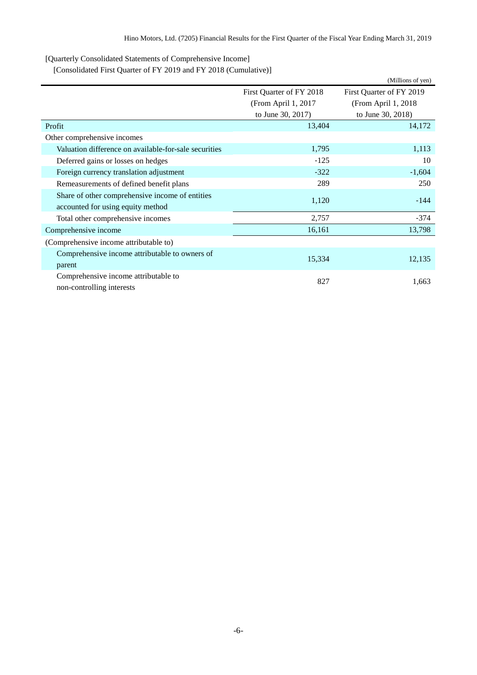<span id="page-7-0"></span>[Quarterly Consolidated Statements of Comprehensive Income]

<span id="page-7-1"></span>[Consolidated First Quarter of FY 2019 and FY 2018 (Cumulative)]

|                                                       |                          | (Millions of yen)        |  |
|-------------------------------------------------------|--------------------------|--------------------------|--|
|                                                       | First Quarter of FY 2018 | First Quarter of FY 2019 |  |
|                                                       | (From April 1, 2017      | (From April 1, 2018)     |  |
|                                                       | to June 30, 2017)        | to June 30, 2018)        |  |
| Profit                                                | 13,404                   | 14,172                   |  |
| Other comprehensive incomes                           |                          |                          |  |
| Valuation difference on available-for-sale securities | 1,795                    | 1,113                    |  |
| Deferred gains or losses on hedges                    | $-125$                   | 10                       |  |
| Foreign currency translation adjustment               | $-322$                   | $-1,604$                 |  |
| Remeasurements of defined benefit plans               | 289                      | 250                      |  |
| Share of other comprehensive income of entities       | 1,120                    | $-144$                   |  |
| accounted for using equity method                     |                          |                          |  |
| Total other comprehensive incomes                     | 2,757                    | $-374$                   |  |
| Comprehensive income                                  | 16,161                   | 13,798                   |  |
| (Comprehensive income attributable to)                |                          |                          |  |
| Comprehensive income attributable to owners of        | 15,334                   | 12,135                   |  |
| parent                                                |                          |                          |  |
| Comprehensive income attributable to                  | 827                      | 1,663                    |  |
| non-controlling interests                             |                          |                          |  |